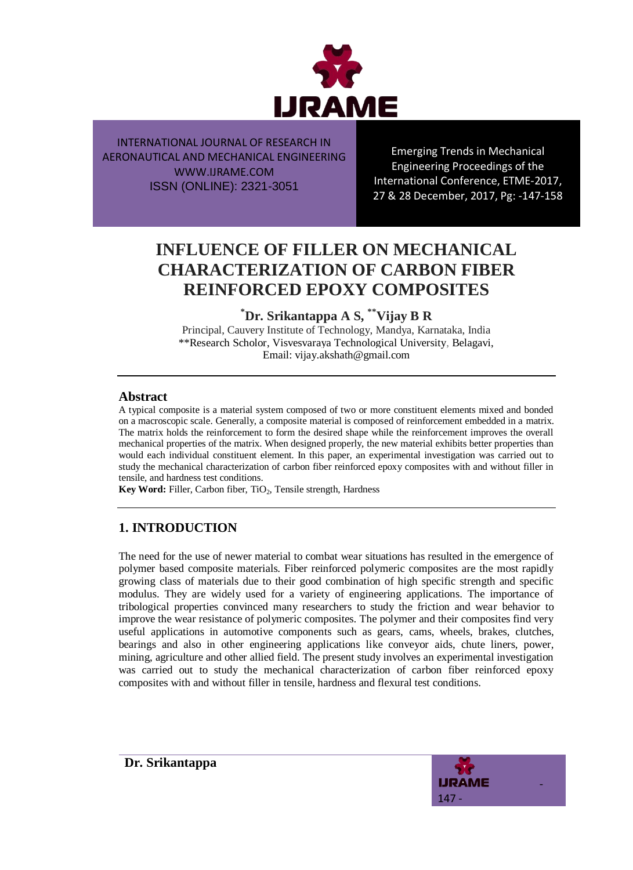

Emerging Trends in Mechanical Engineering Proceedings of the International Conference, ETME-2017, 27 & 28 December, 2017, Pg: -147-158

# **INFLUENCE OF FILLER ON MECHANICAL CHARACTERIZATION OF CARBON FIBER REINFORCED EPOXY COMPOSITES**

**\*Dr. Srikantappa A S, \*\*Vijay B R**

Principal, Cauvery Institute of Technology, Mandya, Karnataka, India \*\*Research Scholor, Visvesvaraya Technological University, Belagavi, Email: vijay.akshath@gmail.com

### **Abstract**

A typical composite is a material system composed of two or more constituent elements mixed and bonded on a macroscopic scale. Generally, a composite material is composed of reinforcement embedded in a matrix. The matrix holds the reinforcement to form the desired shape while the reinforcement improves the overall mechanical properties of the matrix. When designed properly, the new material exhibits better properties than would each individual constituent element. In this paper, an experimental investigation was carried out to study the mechanical characterization of carbon fiber reinforced epoxy composites with and without filler in tensile, and hardness test conditions.

Key Word: Filler, Carbon fiber, TiO<sub>2</sub>, Tensile strength, Hardness

# **1. INTRODUCTION**

The need for the use of newer material to combat wear situations has resulted in the emergence of polymer based composite materials. Fiber reinforced polymeric composites are the most rapidly growing class of materials due to their good combination of high specific strength and specific modulus. They are widely used for a variety of engineering applications. The importance of tribological properties convinced many researchers to study the friction and wear behavior to improve the wear resistance of polymeric composites. The polymer and their composites find very useful applications in automotive components such as gears, cams, wheels, brakes, clutches, bearings and also in other engineering applications like conveyor aids, chute liners, power, mining, agriculture and other allied field. The present study involves an experimental investigation was carried out to study the mechanical characterization of carbon fiber reinforced epoxy composites with and without filler in tensile, hardness and flexural test conditions.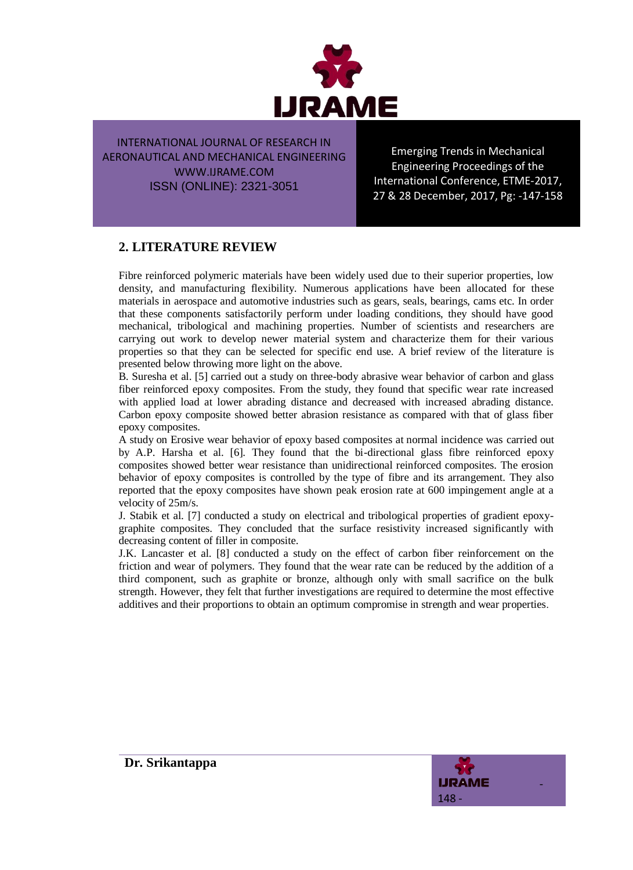

Emerging Trends in Mechanical Engineering Proceedings of the International Conference, ETME-2017, 27 & 28 December, 2017, Pg: -147-158

# **2. LITERATURE REVIEW**

Fibre reinforced polymeric materials have been widely used due to their superior properties, low density, and manufacturing flexibility. Numerous applications have been allocated for these materials in aerospace and automotive industries such as gears, seals, bearings, cams etc. In order that these components satisfactorily perform under loading conditions, they should have good mechanical, tribological and machining properties. Number of scientists and researchers are carrying out work to develop newer material system and characterize them for their various properties so that they can be selected for specific end use. A brief review of the literature is presented below throwing more light on the above.

B. Suresha et al. [5] carried out a study on three-body abrasive wear behavior of carbon and glass fiber reinforced epoxy composites. From the study, they found that specific wear rate increased with applied load at lower abrading distance and decreased with increased abrading distance. Carbon epoxy composite showed better abrasion resistance as compared with that of glass fiber epoxy composites.

A study on Erosive wear behavior of epoxy based composites at normal incidence was carried out by A.P. Harsha et al. [6]. They found that the bi-directional glass fibre reinforced epoxy composites showed better wear resistance than unidirectional reinforced composites. The erosion behavior of epoxy composites is controlled by the type of fibre and its arrangement. They also reported that the epoxy composites have shown peak erosion rate at 600 impingement angle at a velocity of 25m/s.

J. Stabik et al. [7] conducted a study on electrical and tribological properties of gradient epoxygraphite composites. They concluded that the surface resistivity increased significantly with decreasing content of filler in composite.

J.K. Lancaster et al. [8] conducted a study on the effect of carbon fiber reinforcement on the friction and wear of polymers. They found that the wear rate can be reduced by the addition of a third component, such as graphite or bronze, although only with small sacrifice on the bulk strength. However, they felt that further investigations are required to determine the most effective additives and their proportions to obtain an optimum compromise in strength and wear properties.

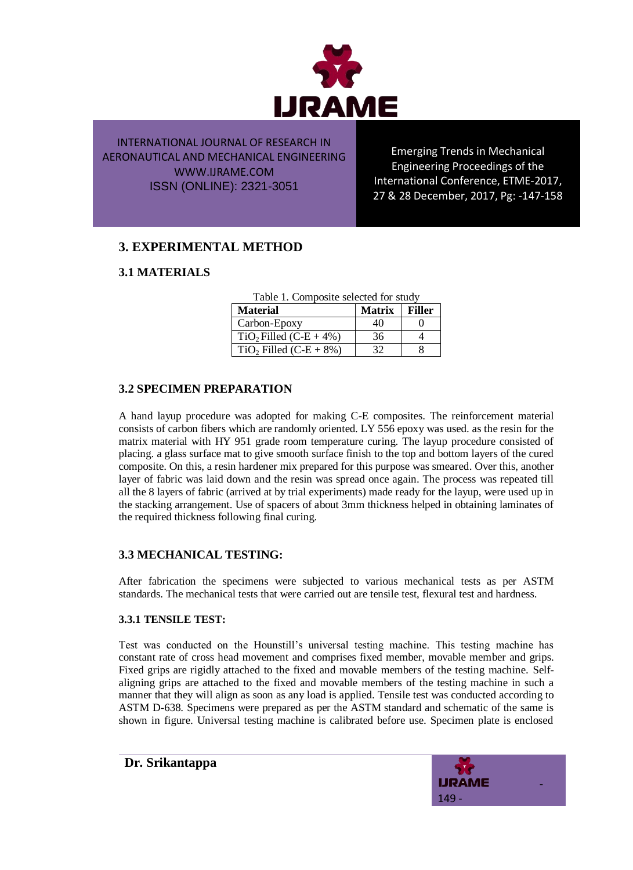

Emerging Trends in Mechanical Engineering Proceedings of the International Conference, ETME-2017, 27 & 28 December, 2017, Pg: -147-158

# **3. EXPERIMENTAL METHOD**

### **3.1 MATERIALS**

| Table 1. Composite selected for study |               |               |  |  |
|---------------------------------------|---------------|---------------|--|--|
| <b>Material</b>                       | <b>Matrix</b> | <b>Filler</b> |  |  |
| Carbon-Epoxy                          | 40            |               |  |  |
| $TiO2$ Filled (C-E + 4%)              | 36            |               |  |  |
| $TiO2$ Filled (C-E + 8%)              | 32            |               |  |  |

Table 1. Composite selected for study

#### **3.2 SPECIMEN PREPARATION**

A hand layup procedure was adopted for making C-E composites. The reinforcement material consists of carbon fibers which are randomly oriented. LY 556 epoxy was used. as the resin for the matrix material with HY 951 grade room temperature curing. The layup procedure consisted of placing. a glass surface mat to give smooth surface finish to the top and bottom layers of the cured composite. On this, a resin hardener mix prepared for this purpose was smeared. Over this, another layer of fabric was laid down and the resin was spread once again. The process was repeated till all the 8 layers of fabric (arrived at by trial experiments) made ready for the layup, were used up in the stacking arrangement. Use of spacers of about 3mm thickness helped in obtaining laminates of the required thickness following final curing.

#### **3.3 MECHANICAL TESTING:**

After fabrication the specimens were subjected to various mechanical tests as per ASTM standards. The mechanical tests that were carried out are tensile test, flexural test and hardness.

#### **3.3.1 TENSILE TEST:**

Test was conducted on the Hounstill's universal testing machine. This testing machine has constant rate of cross head movement and comprises fixed member, movable member and grips. Fixed grips are rigidly attached to the fixed and movable members of the testing machine. Selfaligning grips are attached to the fixed and movable members of the testing machine in such a manner that they will align as soon as any load is applied. Tensile test was conducted according to ASTM D-638. Specimens were prepared as per the ASTM standard and schematic of the same is shown in figure. Universal testing machine is calibrated before use. Specimen plate is enclosed

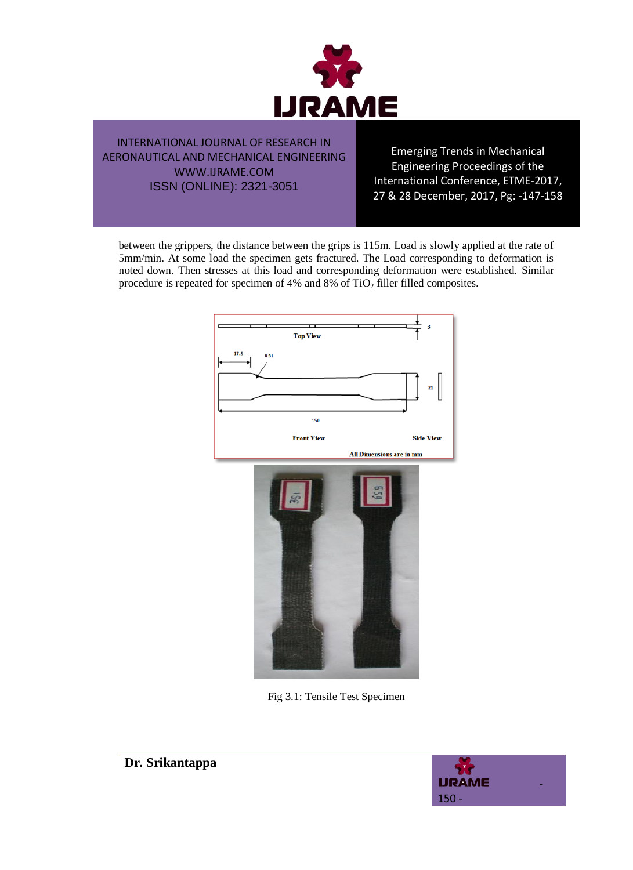

Emerging Trends in Mechanical Engineering Proceedings of the International Conference, ETME-2017, 27 & 28 December, 2017, Pg: -147-158

between the grippers, the distance between the grips is 115m. Load is slowly applied at the rate of 5mm/min. At some load the specimen gets fractured. The Load corresponding to deformation is noted down. Then stresses at this load and corresponding deformation were established. Similar procedure is repeated for specimen of 4% and 8% of TiO<sub>2</sub> filler filled composites.





Fig 3.1: Tensile Test Specimen



**Dr. Srikantappa**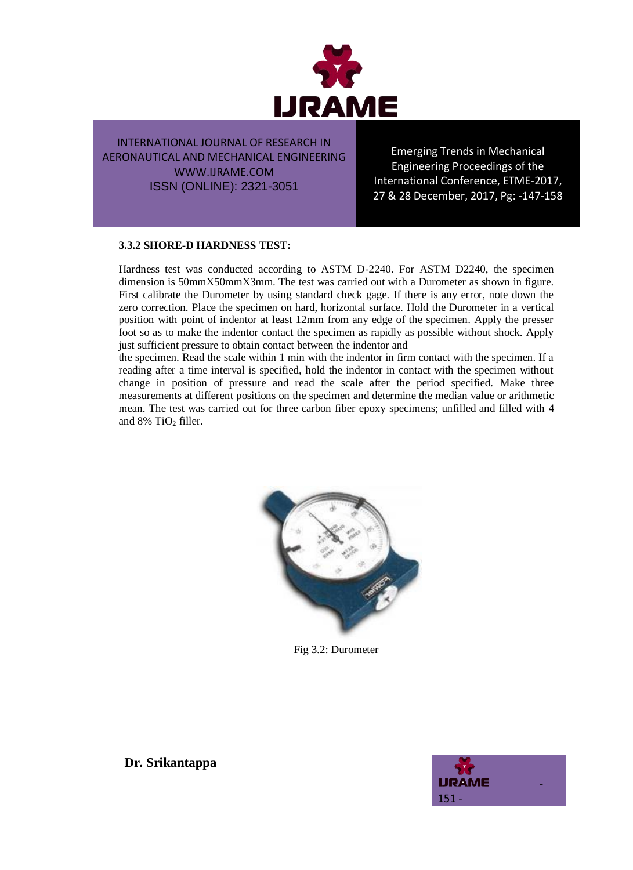

Emerging Trends in Mechanical Engineering Proceedings of the International Conference, ETME-2017, 27 & 28 December, 2017, Pg: -147-158

#### **3.3.2 SHORE-D HARDNESS TEST:**

Hardness test was conducted according to ASTM D-2240. For ASTM D2240, the specimen dimension is 50mmX50mmX3mm. The test was carried out with a Durometer as shown in figure. First calibrate the Durometer by using standard check gage. If there is any error, note down the zero correction. Place the specimen on hard, horizontal surface. Hold the Durometer in a vertical position with point of indentor at least 12mm from any edge of the specimen. Apply the presser foot so as to make the indentor contact the specimen as rapidly as possible without shock. Apply just sufficient pressure to obtain contact between the indentor and

the specimen. Read the scale within 1 min with the indentor in firm contact with the specimen. If a reading after a time interval is specified, hold the indentor in contact with the specimen without change in position of pressure and read the scale after the period specified. Make three measurements at different positions on the specimen and determine the median value or arithmetic mean. The test was carried out for three carbon fiber epoxy specimens; unfilled and filled with 4 and 8% TiO<sub>2</sub> filler.



Fig 3.2: Durometer

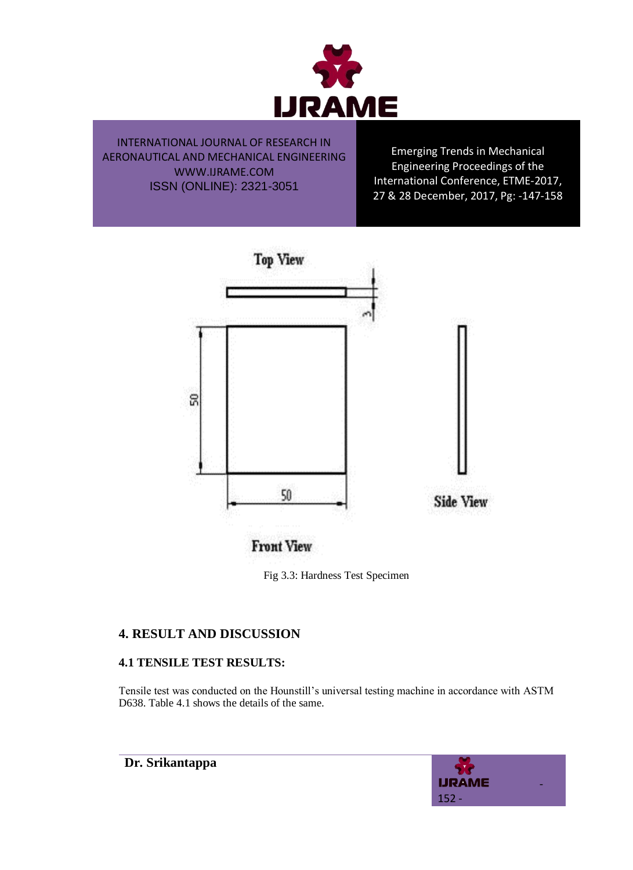

Emerging Trends in Mechanical Engineering Proceedings of the International Conference, ETME-2017, 27 & 28 December, 2017, Pg: -147-158



**Front View** 

Fig 3.3: Hardness Test Specimen

# **4. RESULT AND DISCUSSION**

### **4.1 TENSILE TEST RESULTS:**

Tensile test was conducted on the Hounstill's universal testing machine in accordance with ASTM D638. Table 4.1 shows the details of the same.

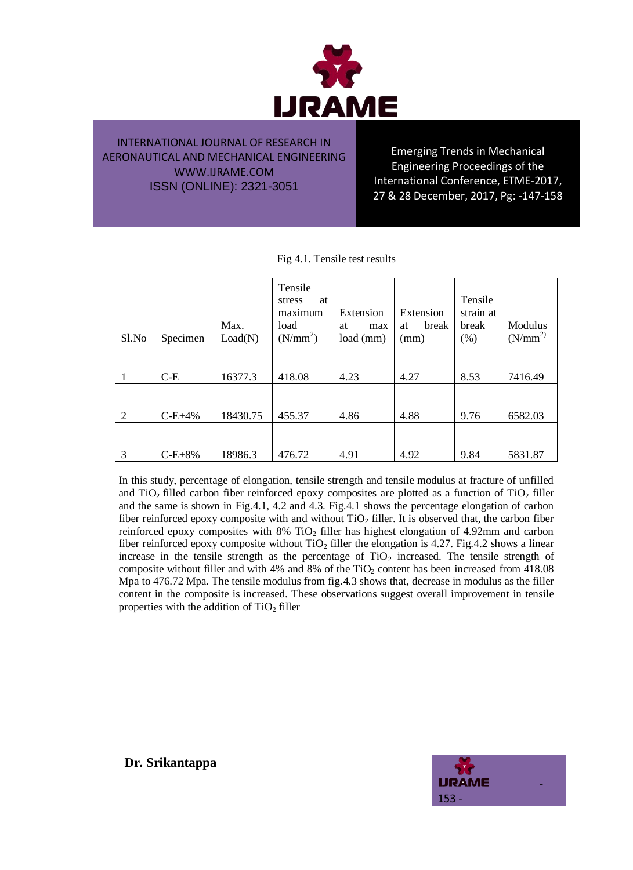

Emerging Trends in Mechanical Engineering Proceedings of the International Conference, ETME-2017, 27 & 28 December, 2017, Pg: -147-158

| Sl.No | Specimen | Max.<br>Load(N) | Tensile<br>at<br>stress<br>maximum<br>load<br>(N/mm <sup>2</sup> ) | Extension<br>at<br>max<br>load (mm) | Extension<br>break<br>at<br>(mm) | Tensile<br>strain at<br>break<br>$(\%)$ | Modulus<br>$(N/mm^2)$ |
|-------|----------|-----------------|--------------------------------------------------------------------|-------------------------------------|----------------------------------|-----------------------------------------|-----------------------|
|       | $C-E$    | 16377.3         | 418.08                                                             | 4.23                                | 4.27                             | 8.53                                    | 7416.49               |
| 2     | $C-E+4%$ | 18430.75        | 455.37                                                             | 4.86                                | 4.88                             | 9.76                                    | 6582.03               |
| 3     | $C-E+8%$ | 18986.3         | 476.72                                                             | 4.91                                | 4.92                             | 9.84                                    | 5831.87               |

In this study, percentage of elongation, tensile strength and tensile modulus at fracture of unfilled and  $TiO<sub>2</sub>$  filled carbon fiber reinforced epoxy composites are plotted as a function of  $TiO<sub>2</sub>$  filler and the same is shown in Fig.4.1, 4.2 and 4.3. Fig.4.1 shows the percentage elongation of carbon fiber reinforced epoxy composite with and without  $TiO<sub>2</sub>$  filler. It is observed that, the carbon fiber reinforced epoxy composites with 8% TiO<sub>2</sub> filler has highest elongation of 4.92mm and carbon fiber reinforced epoxy composite without  $TiO<sub>2</sub>$  filler the elongation is 4.27. Fig.4.2 shows a linear increase in the tensile strength as the percentage of  $TiO<sub>2</sub>$  increased. The tensile strength of composite without filler and with  $4\%$  and  $8\%$  of the TiO<sub>2</sub> content has been increased from  $418.08$ Mpa to 476.72 Mpa. The tensile modulus from fig.4.3 shows that, decrease in modulus as the filler content in the composite is increased. These observations suggest overall improvement in tensile properties with the addition of  $TiO<sub>2</sub>$  filler

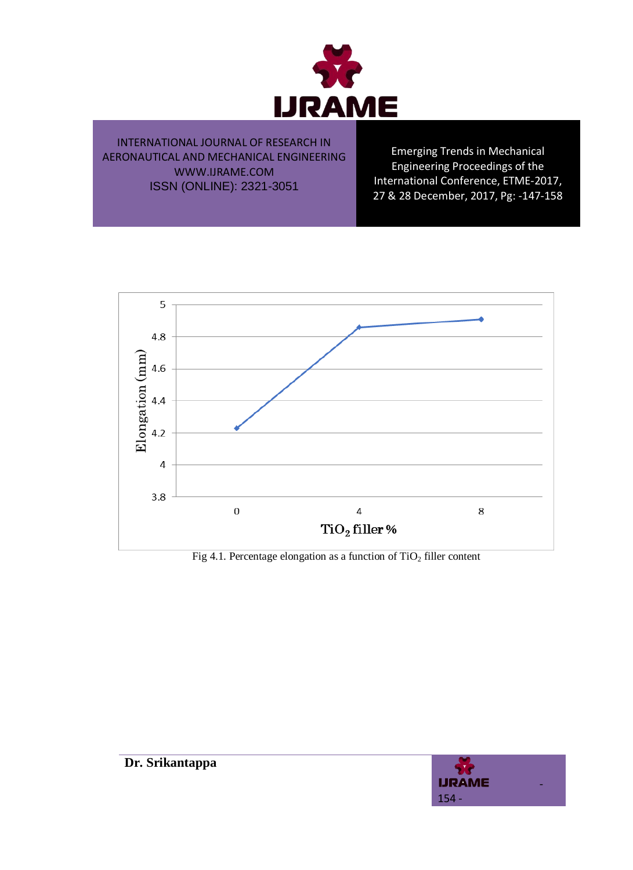

Emerging Trends in Mechanical Engineering Proceedings of the International Conference, ETME-2017, 27 & 28 December, 2017, Pg: -147-158



Fig 4.1. Percentage elongation as a function of  $TiO<sub>2</sub>$  filler content

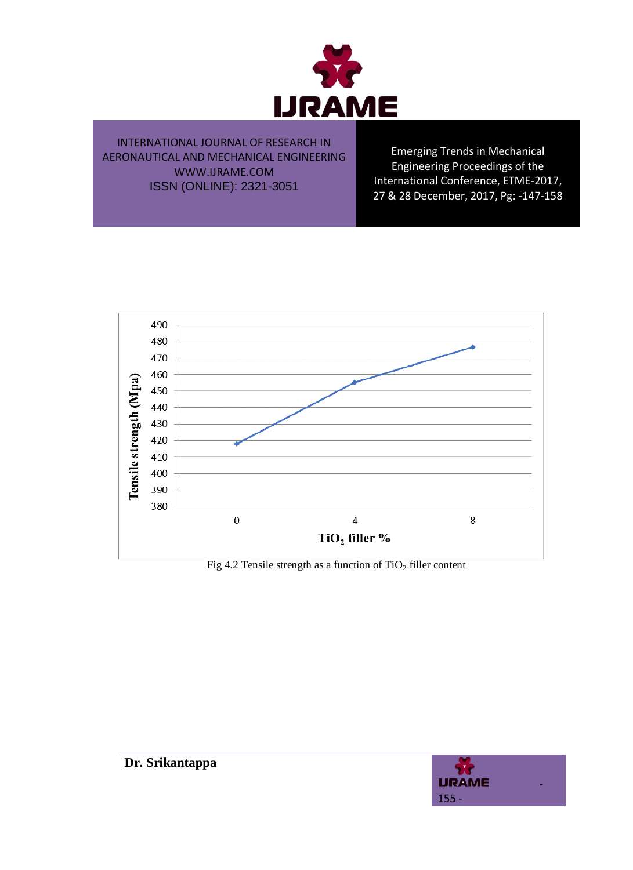

Emerging Trends in Mechanical Engineering Proceedings of the International Conference, ETME-2017, 27 & 28 December, 2017, Pg: -147-158



Fig 4.2 Tensile strength as a function of  $TiO<sub>2</sub>$  filler content

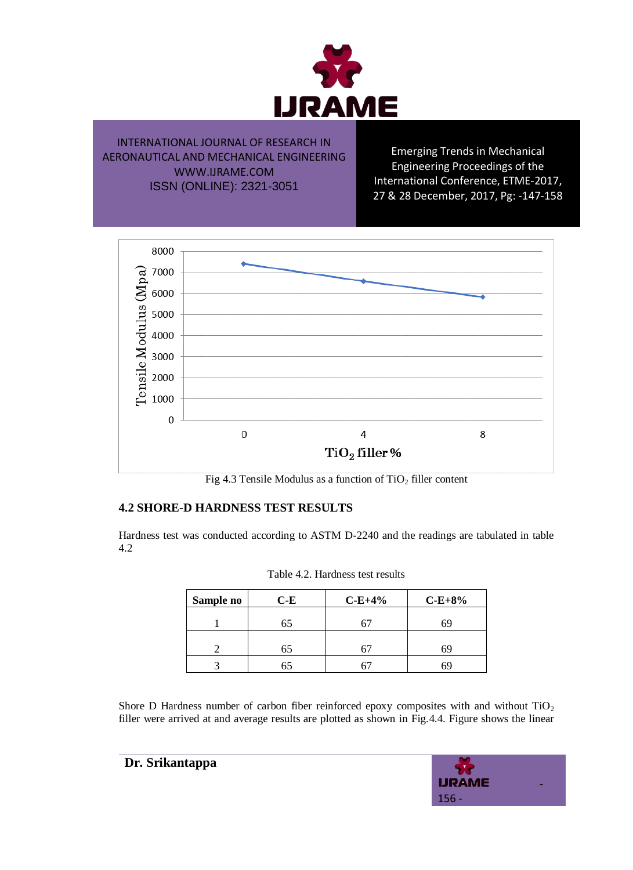

Emerging Trends in Mechanical Engineering Proceedings of the International Conference, ETME-2017, 27 & 28 December, 2017, Pg: -147-158



Fig 4.3 Tensile Modulus as a function of  $TiO<sub>2</sub>$  filler content

### **4.2 SHORE-D HARDNESS TEST RESULTS**

Hardness test was conducted according to ASTM D-2240 and the readings are tabulated in table 4.2

| Sample no | $C-E$ | $C-E+4%$ | $C-E+8%$ |
|-----------|-------|----------|----------|
|           | 65    |          | 69       |
|           | 65    |          | 69       |
|           | О.    |          | 6٩       |

| Table 4.2. Hardness test results |  |  |  |
|----------------------------------|--|--|--|
|----------------------------------|--|--|--|

Shore D Hardness number of carbon fiber reinforced epoxy composites with and without  $TiO<sub>2</sub>$ filler were arrived at and average results are plotted as shown in Fig.4.4. Figure shows the linear

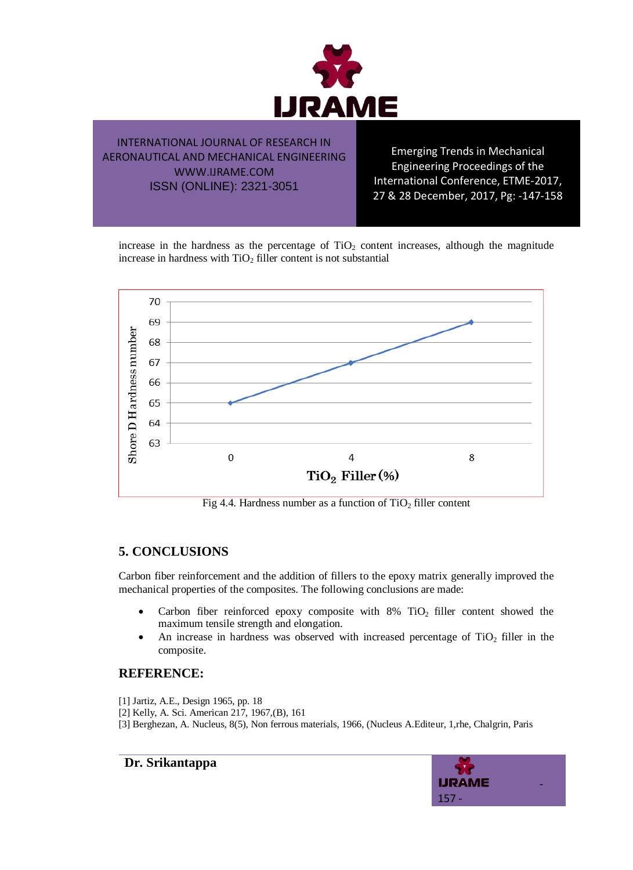

Emerging Trends in Mechanical Engineering Proceedings of the International Conference, ETME-2017, 27 & 28 December, 2017, Pg: -147-158

increase in the hardness as the percentage of  $TiO<sub>2</sub>$  content increases, although the magnitude increase in hardness with  $TiO<sub>2</sub>$  filler content is not substantial



Fig 4.4. Hardness number as a function of  $TiO<sub>2</sub>$  filler content

# **5. CONCLUSIONS**

Carbon fiber reinforcement and the addition of fillers to the epoxy matrix generally improved the mechanical properties of the composites. The following conclusions are made:

- Carbon fiber reinforced epoxy composite with  $8\%$  TiO<sub>2</sub> filler content showed the maximum tensile strength and elongation.
- An increase in hardness was observed with increased percentage of  $TiO<sub>2</sub>$  filler in the composite.

### **REFERENCE:**

- [1] Jartiz, A.E., Design 1965, pp. 18
- [2] Kelly, A. Sci. American 217, 1967,(B), 161
- [3] Berghezan, A. Nucleus, 8(5), Non ferrous materials, 1966, (Nucleus A.Editeur, 1,rhe, Chalgrin, Paris